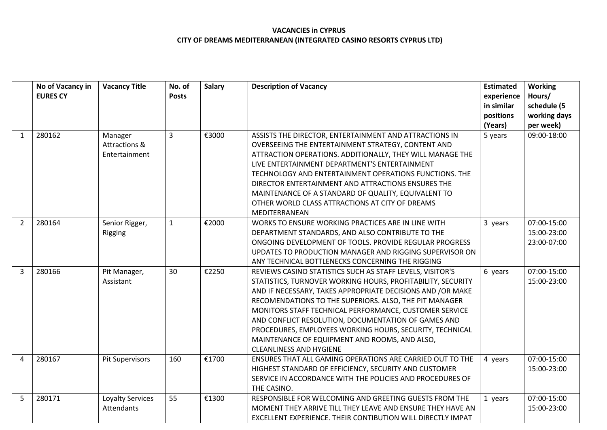|                | No of Vacancy in | <b>Vacancy Title</b>   | No. of       | <b>Salary</b> | <b>Description of Vacancy</b>                               | <b>Estimated</b> | <b>Working</b> |
|----------------|------------------|------------------------|--------------|---------------|-------------------------------------------------------------|------------------|----------------|
|                | <b>EURES CY</b>  |                        | <b>Posts</b> |               |                                                             | experience       | Hours/         |
|                |                  |                        |              |               |                                                             | in similar       | schedule (5    |
|                |                  |                        |              |               |                                                             | positions        | working days   |
|                |                  |                        |              |               |                                                             | (Years)          | per week)      |
| $\mathbf{1}$   | 280162           | Manager                | 3            | €3000         | ASSISTS THE DIRECTOR, ENTERTAINMENT AND ATTRACTIONS IN      | 5 years          | 09:00-18:00    |
|                |                  | Attractions &          |              |               | OVERSEEING THE ENTERTAINMENT STRATEGY, CONTENT AND          |                  |                |
|                |                  | Entertainment          |              |               | ATTRACTION OPERATIONS. ADDITIONALLY, THEY WILL MANAGE THE   |                  |                |
|                |                  |                        |              |               | LIVE ENTERTAINMENT DEPARTMENT'S ENTERTAINMENT               |                  |                |
|                |                  |                        |              |               | TECHNOLOGY AND ENTERTAINMENT OPERATIONS FUNCTIONS. THE      |                  |                |
|                |                  |                        |              |               | DIRECTOR ENTERTAINMENT AND ATTRACTIONS ENSURES THE          |                  |                |
|                |                  |                        |              |               | MAINTENANCE OF A STANDARD OF QUALITY, EQUIVALENT TO         |                  |                |
|                |                  |                        |              |               | OTHER WORLD CLASS ATTRACTIONS AT CITY OF DREAMS             |                  |                |
|                |                  |                        |              |               | MEDITERRANEAN                                               |                  |                |
| $\overline{2}$ | 280164           | Senior Rigger,         | $\mathbf{1}$ | €2000         | WORKS TO ENSURE WORKING PRACTICES ARE IN LINE WITH          | 3 years          | 07:00-15:00    |
|                |                  | Rigging                |              |               | DEPARTMENT STANDARDS, AND ALSO CONTRIBUTE TO THE            |                  | 15:00-23:00    |
|                |                  |                        |              |               | ONGOING DEVELOPMENT OF TOOLS. PROVIDE REGULAR PROGRESS      |                  | 23:00-07:00    |
|                |                  |                        |              |               | UPDATES TO PRODUCTION MANAGER AND RIGGING SUPERVISOR ON     |                  |                |
|                |                  |                        |              |               | ANY TECHNICAL BOTTLENECKS CONCERNING THE RIGGING            |                  |                |
| 3              | 280166           | Pit Manager,           | 30           | €2250         | REVIEWS CASINO STATISTICS SUCH AS STAFF LEVELS, VISITOR'S   | 6 years          | 07:00-15:00    |
|                |                  | Assistant              |              |               | STATISTICS, TURNOVER WORKING HOURS, PROFITABILITY, SECURITY |                  | 15:00-23:00    |
|                |                  |                        |              |               | AND IF NECESSARY, TAKES APPROPRIATE DECISIONS AND /OR MAKE  |                  |                |
|                |                  |                        |              |               | RECOMENDATIONS TO THE SUPERIORS. ALSO, THE PIT MANAGER      |                  |                |
|                |                  |                        |              |               | MONITORS STAFF TECHNICAL PERFORMANCE, CUSTOMER SERVICE      |                  |                |
|                |                  |                        |              |               | AND CONFLICT RESOLUTION, DOCUMENTATION OF GAMES AND         |                  |                |
|                |                  |                        |              |               | PROCEDURES, EMPLOYEES WORKING HOURS, SECURITY, TECHNICAL    |                  |                |
|                |                  |                        |              |               | MAINTENANCE OF EQUIPMENT AND ROOMS, AND ALSO,               |                  |                |
|                |                  |                        |              |               | <b>CLEANLINESS AND HYGIENE</b>                              |                  |                |
| 4              | 280167           | <b>Pit Supervisors</b> | 160          | €1700         | ENSURES THAT ALL GAMING OPERATIONS ARE CARRIED OUT TO THE   | 4 years          | 07:00-15:00    |
|                |                  |                        |              |               | HIGHEST STANDARD OF EFFICIENCY, SECURITY AND CUSTOMER       |                  | 15:00-23:00    |
|                |                  |                        |              |               | SERVICE IN ACCORDANCE WITH THE POLICIES AND PROCEDURES OF   |                  |                |
|                |                  |                        |              |               | THE CASINO.                                                 |                  |                |
| 5              | 280171           | Loyalty Services       | 55           | €1300         | RESPONSIBLE FOR WELCOMING AND GREETING GUESTS FROM THE      | 1 years          | 07:00-15:00    |
|                |                  | <b>Attendants</b>      |              |               | MOMENT THEY ARRIVE TILL THEY LEAVE AND ENSURE THEY HAVE AN  |                  | 15:00-23:00    |
|                |                  |                        |              |               | EXCELLENT EXPERIENCE. THEIR CONTIBUTION WILL DIRECTLY IMPAT |                  |                |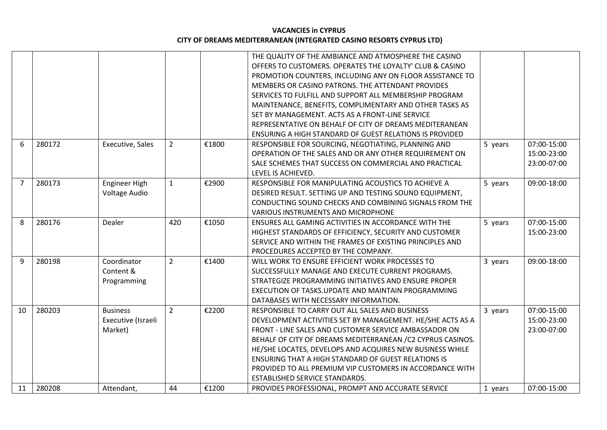|                |        |                    |                |       | THE QUALITY OF THE AMBIANCE AND ATMOSPHERE THE CASINO       |         |             |
|----------------|--------|--------------------|----------------|-------|-------------------------------------------------------------|---------|-------------|
|                |        |                    |                |       | OFFERS TO CUSTOMERS. OPERATES THE LOYALTY' CLUB & CASINO    |         |             |
|                |        |                    |                |       | PROMOTION COUNTERS, INCLUDING ANY ON FLOOR ASSISTANCE TO    |         |             |
|                |        |                    |                |       | MEMBERS OR CASINO PATRONS. THE ATTENDANT PROVIDES           |         |             |
|                |        |                    |                |       | SERVICES TO FULFILL AND SUPPORT ALL MEMBERSHIP PROGRAM      |         |             |
|                |        |                    |                |       | MAINTENANCE, BENEFITS, COMPLIMENTARY AND OTHER TASKS AS     |         |             |
|                |        |                    |                |       | SET BY MANAGEMENT. ACTS AS A FRONT-LINE SERVICE             |         |             |
|                |        |                    |                |       | REPRESENTATIVE ON BEHALF OF CITY OF DREAMS MEDITERANEAN     |         |             |
|                |        |                    |                |       | ENSURING A HIGH STANDARD OF GUEST RELATIONS IS PROVIDED     |         |             |
| 6              | 280172 | Executive, Sales   | $\overline{2}$ | €1800 | RESPONSIBLE FOR SOURCING, NEGOTIATING, PLANNING AND         | 5 years | 07:00-15:00 |
|                |        |                    |                |       | OPERATION OF THE SALES AND OR ANY OTHER REQUIREMENT ON      |         | 15:00-23:00 |
|                |        |                    |                |       | SALE SCHEMES THAT SUCCESS ON COMMERCIAL AND PRACTICAL       |         | 23:00-07:00 |
|                |        |                    |                |       | LEVEL IS ACHIEVED.                                          |         |             |
| $\overline{7}$ | 280173 | Engineer High      | $\mathbf{1}$   | €2900 | RESPONSIBLE FOR MANIPULATING ACOUSTICS TO ACHIEVE A         | 5 years | 09:00-18:00 |
|                |        | Voltage Audio      |                |       | DESIRED RESULT. SETTING UP AND TESTING SOUND EQUIPMENT,     |         |             |
|                |        |                    |                |       | CONDUCTING SOUND CHECKS AND COMBINING SIGNALS FROM THE      |         |             |
|                |        |                    |                |       | <b>VARIOUS INSTRUMENTS AND MICROPHONE</b>                   |         |             |
| 8              | 280176 | Dealer             | 420            | €1050 | ENSURES ALL GAMING ACTIVITIES IN ACCORDANCE WITH THE        | 5 years | 07:00-15:00 |
|                |        |                    |                |       | HIGHEST STANDARDS OF EFFICIENCY, SECURITY AND CUSTOMER      |         | 15:00-23:00 |
|                |        |                    |                |       | SERVICE AND WITHIN THE FRAMES OF EXISTING PRINCIPLES AND    |         |             |
|                |        |                    |                |       | PROCEDURES ACCEPTED BY THE COMPANY.                         |         |             |
| 9              | 280198 | Coordinator        | $\overline{2}$ | €1400 | WILL WORK TO ENSURE EFFICIENT WORK PROCESSES TO             | 3 years | 09:00-18:00 |
|                |        | Content &          |                |       | SUCCESSFULLY MANAGE AND EXECUTE CURRENT PROGRAMS.           |         |             |
|                |        | Programming        |                |       | STRATEGIZE PROGRAMMING INITIATIVES AND ENSURE PROPER        |         |             |
|                |        |                    |                |       | EXECUTION OF TASKS.UPDATE AND MAINTAIN PROGRAMMING          |         |             |
|                |        |                    |                |       | DATABASES WITH NECESSARY INFORMATION.                       |         |             |
| 10             | 280203 | <b>Business</b>    | $\overline{2}$ | €2200 | RESPONSIBLE TO CARRY OUT ALL SALES AND BUSINESS             | 3 years | 07:00-15:00 |
|                |        | Executive (Israeli |                |       | DEVELOPMENT ACTIVITIES SET BY MANAGEMENT. HE/SHE ACTS AS A  |         | 15:00-23:00 |
|                |        | Market)            |                |       | FRONT - LINE SALES AND CUSTOMER SERVICE AMBASSADOR ON       |         | 23:00-07:00 |
|                |        |                    |                |       | BEHALF OF CITY OF DREAMS MEDITERRANEAN / C2 CYPRUS CASINOS. |         |             |
|                |        |                    |                |       | HE/SHE LOCATES, DEVELOPS AND ACQUIRES NEW BUSINESS WHILE    |         |             |
|                |        |                    |                |       | <b>ENSURING THAT A HIGH STANDARD OF GUEST RELATIONS IS</b>  |         |             |
|                |        |                    |                |       | PROVIDED TO ALL PREMIUM VIP CUSTOMERS IN ACCORDANCE WITH    |         |             |
|                |        |                    |                |       | ESTABLISHED SERVICE STANDARDS.                              |         |             |
| 11             | 280208 | Attendant,         | 44             | €1200 | PROVIDES PROFESSIONAL, PROMPT AND ACCURATE SERVICE          | 1 years | 07:00-15:00 |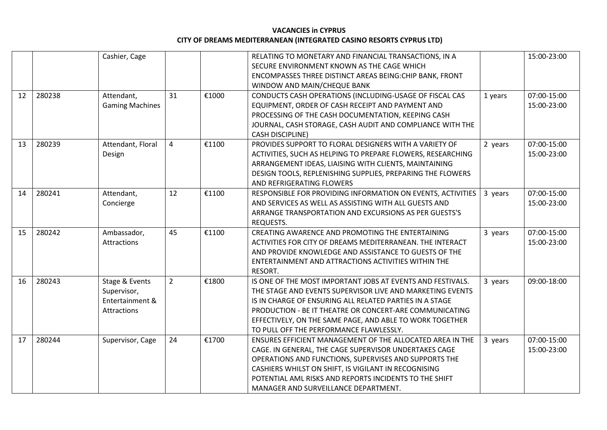|    |        | Cashier, Cage          |                |       | RELATING TO MONETARY AND FINANCIAL TRANSACTIONS, IN A       |         | 15:00-23:00 |
|----|--------|------------------------|----------------|-------|-------------------------------------------------------------|---------|-------------|
|    |        |                        |                |       | SECURE ENVIRONMENT KNOWN AS THE CAGE WHICH                  |         |             |
|    |        |                        |                |       | ENCOMPASSES THREE DISTINCT AREAS BEING: CHIP BANK, FRONT    |         |             |
|    |        |                        |                |       | WINDOW AND MAIN/CHEQUE BANK                                 |         |             |
| 12 | 280238 | Attendant,             | 31             | €1000 | CONDUCTS CASH OPERATIONS (INCLUDING-USAGE OF FISCAL CAS     | 1 years | 07:00-15:00 |
|    |        | <b>Gaming Machines</b> |                |       | EQUIPMENT, ORDER OF CASH RECEIPT AND PAYMENT AND            |         | 15:00-23:00 |
|    |        |                        |                |       | PROCESSING OF THE CASH DOCUMENTATION, KEEPING CASH          |         |             |
|    |        |                        |                |       | JOURNAL, CASH STORAGE, CASH AUDIT AND COMPLIANCE WITH THE   |         |             |
|    |        |                        |                |       | <b>CASH DISCIPLINE)</b>                                     |         |             |
|    |        |                        |                |       |                                                             |         |             |
| 13 | 280239 | Attendant, Floral      | $\overline{4}$ | €1100 | PROVIDES SUPPORT TO FLORAL DESIGNERS WITH A VARIETY OF      | 2 years | 07:00-15:00 |
|    |        | Design                 |                |       | ACTIVITIES, SUCH AS HELPING TO PREPARE FLOWERS, RESEARCHING |         | 15:00-23:00 |
|    |        |                        |                |       | ARRANGEMENT IDEAS, LIAISING WITH CLIENTS, MAINTAINING       |         |             |
|    |        |                        |                |       | DESIGN TOOLS, REPLENISHING SUPPLIES, PREPARING THE FLOWERS  |         |             |
|    |        |                        |                |       | AND REFRIGERATING FLOWERS                                   |         |             |
| 14 | 280241 | Attendant,             | 12             | €1100 | RESPONSIBLE FOR PROVIDING INFORMATION ON EVENTS, ACTIVITIES | 3 years | 07:00-15:00 |
|    |        | Concierge              |                |       | AND SERVICES AS WELL AS ASSISTING WITH ALL GUESTS AND       |         | 15:00-23:00 |
|    |        |                        |                |       | ARRANGE TRANSPORTATION AND EXCURSIONS AS PER GUESTS'S       |         |             |
|    |        |                        |                |       | REQUESTS.                                                   |         |             |
| 15 | 280242 | Ambassador,            | 45             | €1100 | CREATING AWARENCE AND PROMOTING THE ENTERTAINING            | 3 years | 07:00-15:00 |
|    |        | Attractions            |                |       | ACTIVITIES FOR CITY OF DREAMS MEDITERRANEAN. THE INTERACT   |         | 15:00-23:00 |
|    |        |                        |                |       | AND PROVIDE KNOWLEDGE AND ASSISTANCE TO GUESTS OF THE       |         |             |
|    |        |                        |                |       | ENTERTAINMENT AND ATTRACTIONS ACTIVITIES WITHIN THE         |         |             |
|    |        |                        |                |       | RESORT.                                                     |         |             |
| 16 | 280243 | Stage & Events         | $2^{\circ}$    | €1800 | IS ONE OF THE MOST IMPORTANT JOBS AT EVENTS AND FESTIVALS.  | 3 years | 09:00-18:00 |
|    |        | Supervisor,            |                |       | THE STAGE AND EVENTS SUPERVISOR LIVE AND MARKETING EVENTS   |         |             |
|    |        | Entertainment &        |                |       | IS IN CHARGE OF ENSURING ALL RELATED PARTIES IN A STAGE     |         |             |
|    |        | Attractions            |                |       | PRODUCTION - BE IT THEATRE OR CONCERT-ARE COMMUNICATING     |         |             |
|    |        |                        |                |       | EFFECTIVELY, ON THE SAME PAGE, AND ABLE TO WORK TOGETHER    |         |             |
|    |        |                        |                |       | TO PULL OFF THE PERFORMANCE FLAWLESSLY.                     |         |             |
| 17 | 280244 | Supervisor, Cage       | 24             | €1700 | ENSURES EFFICIENT MANAGEMENT OF THE ALLOCATED AREA IN THE   | 3 years | 07:00-15:00 |
|    |        |                        |                |       | CAGE. IN GENERAL, THE CAGE SUPERVISOR UNDERTAKES CAGE       |         | 15:00-23:00 |
|    |        |                        |                |       | OPERATIONS AND FUNCTIONS, SUPERVISES AND SUPPORTS THE       |         |             |
|    |        |                        |                |       | CASHIERS WHILST ON SHIFT, IS VIGILANT IN RECOGNISING        |         |             |
|    |        |                        |                |       | POTENTIAL AML RISKS AND REPORTS INCIDENTS TO THE SHIFT      |         |             |
|    |        |                        |                |       | MANAGER AND SURVEILLANCE DEPARTMENT.                        |         |             |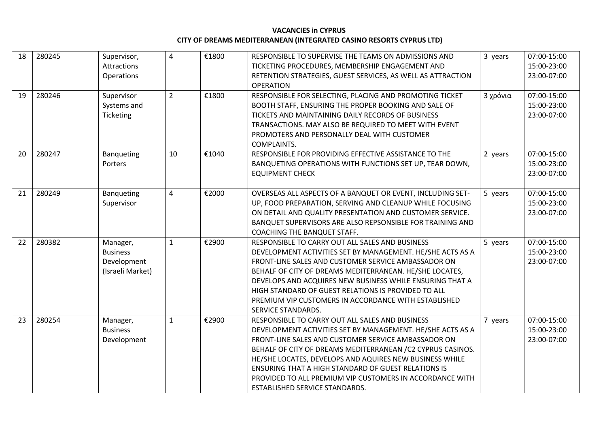| 18 | 280245 | Supervisor,<br><b>Attractions</b><br>Operations                | $\overline{4}$ | €1800 | RESPONSIBLE TO SUPERVISE THE TEAMS ON ADMISSIONS AND<br>TICKETING PROCEDURES, MEMBERSHIP ENGAGEMENT AND<br>RETENTION STRATEGIES, GUEST SERVICES, AS WELL AS ATTRACTION<br><b>OPERATION</b>                                                                                                                                                                                                                                                          | 3 years  | 07:00-15:00<br>15:00-23:00<br>23:00-07:00 |
|----|--------|----------------------------------------------------------------|----------------|-------|-----------------------------------------------------------------------------------------------------------------------------------------------------------------------------------------------------------------------------------------------------------------------------------------------------------------------------------------------------------------------------------------------------------------------------------------------------|----------|-------------------------------------------|
| 19 | 280246 | Supervisor<br>Systems and<br>Ticketing                         | $\overline{2}$ | €1800 | RESPONSIBLE FOR SELECTING, PLACING AND PROMOTING TICKET<br>BOOTH STAFF, ENSURING THE PROPER BOOKING AND SALE OF<br>TICKETS AND MAINTAINING DAILY RECORDS OF BUSINESS<br>TRANSACTIONS. MAY ALSO BE REQUIRED TO MEET WITH EVENT<br>PROMOTERS AND PERSONALLY DEAL WITH CUSTOMER<br>COMPLAINTS.                                                                                                                                                         | 3 χρόνια | 07:00-15:00<br>15:00-23:00<br>23:00-07:00 |
| 20 | 280247 | <b>Banqueting</b><br>Porters                                   | 10             | €1040 | RESPONSIBLE FOR PROVIDING EFFECTIVE ASSISTANCE TO THE<br>BANQUETING OPERATIONS WITH FUNCTIONS SET UP, TEAR DOWN,<br><b>EQUIPMENT CHECK</b>                                                                                                                                                                                                                                                                                                          | 2 years  | 07:00-15:00<br>15:00-23:00<br>23:00-07:00 |
| 21 | 280249 | Banqueting<br>Supervisor                                       | 4              | €2000 | OVERSEAS ALL ASPECTS OF A BANQUET OR EVENT, INCLUDING SET-<br>UP, FOOD PREPARATION, SERVING AND CLEANUP WHILE FOCUSING<br>ON DETAIL AND QUALITY PRESENTATION AND CUSTOMER SERVICE.<br>BANQUET SUPERVISORS ARE ALSO REPSONSIBLE FOR TRAINING AND<br>COACHING THE BANQUET STAFF.                                                                                                                                                                      | 5 years  | 07:00-15:00<br>15:00-23:00<br>23:00-07:00 |
| 22 | 280382 | Manager,<br><b>Business</b><br>Development<br>(Israeli Market) | $\mathbf{1}$   | €2900 | RESPONSIBLE TO CARRY OUT ALL SALES AND BUSINESS<br>DEVELOPMENT ACTIVITIES SET BY MANAGEMENT. HE/SHE ACTS AS A<br>FRONT-LINE SALES AND CUSTOMER SERVICE AMBASSADOR ON<br>BEHALF OF CITY OF DREAMS MEDITERRANEAN. HE/SHE LOCATES,<br>DEVELOPS AND ACQUIRES NEW BUSINESS WHILE ENSURING THAT A<br>HIGH STANDARD OF GUEST RELATIONS IS PROVIDED TO ALL<br>PREMIUM VIP CUSTOMERS IN ACCORDANCE WITH ESTABLISHED<br>SERVICE STANDARDS.                    | 5 years  | 07:00-15:00<br>15:00-23:00<br>23:00-07:00 |
| 23 | 280254 | Manager,<br><b>Business</b><br>Development                     | $\mathbf{1}$   | €2900 | RESPONSIBLE TO CARRY OUT ALL SALES AND BUSINESS<br>DEVELOPMENT ACTIVITIES SET BY MANAGEMENT. HE/SHE ACTS AS A<br>FRONT-LINE SALES AND CUSTOMER SERVICE AMBASSADOR ON<br>BEHALF OF CITY OF DREAMS MEDITERRANEAN / C2 CYPRUS CASINOS.<br>HE/SHE LOCATES, DEVELOPS AND AQUIRES NEW BUSINESS WHILE<br>ENSURING THAT A HIGH STANDARD OF GUEST RELATIONS IS<br>PROVIDED TO ALL PREMIUM VIP CUSTOMERS IN ACCORDANCE WITH<br>ESTABLISHED SERVICE STANDARDS. | 7 years  | 07:00-15:00<br>15:00-23:00<br>23:00-07:00 |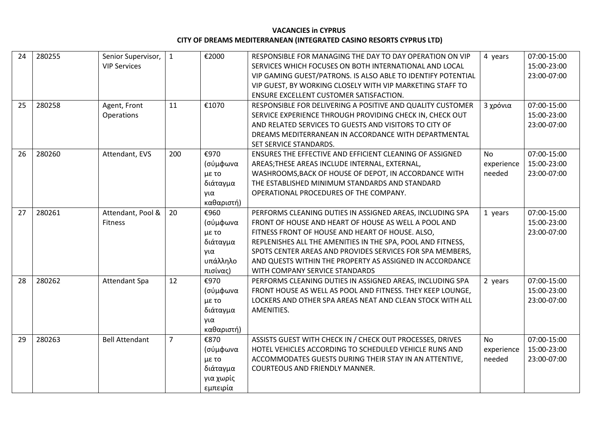| 24 | 280255 | Senior Supervisor,    | $\mathbf{1}$   | €2000      | RESPONSIBLE FOR MANAGING THE DAY TO DAY OPERATION ON VIP     | 4 years    | 07:00-15:00 |
|----|--------|-----------------------|----------------|------------|--------------------------------------------------------------|------------|-------------|
|    |        | <b>VIP Services</b>   |                |            | SERVICES WHICH FOCUSES ON BOTH INTERNATIONAL AND LOCAL       |            | 15:00-23:00 |
|    |        |                       |                |            | VIP GAMING GUEST/PATRONS. IS ALSO ABLE TO IDENTIFY POTENTIAL |            | 23:00-07:00 |
|    |        |                       |                |            | VIP GUEST, BY WORKING CLOSELY WITH VIP MARKETING STAFF TO    |            |             |
|    |        |                       |                |            | ENSURE EXCELLENT CUSTOMER SATISFACTION.                      |            |             |
| 25 | 280258 | Agent, Front          | 11             | €1070      | RESPONSIBLE FOR DELIVERING A POSITIVE AND QUALITY CUSTOMER   | 3 χρόνια   | 07:00-15:00 |
|    |        | Operations            |                |            | SERVICE EXPERIENCE THROUGH PROVIDING CHECK IN, CHECK OUT     |            | 15:00-23:00 |
|    |        |                       |                |            | AND RELATED SERVICES TO GUESTS AND VISITORS TO CITY OF       |            | 23:00-07:00 |
|    |        |                       |                |            | DREAMS MEDITERRANEAN IN ACCORDANCE WITH DEPARTMENTAL         |            |             |
|    |        |                       |                |            | SET SERVICE STANDARDS.                                       |            |             |
| 26 | 280260 | Attendant, EVS        | 200            | €970       | ENSURES THE EFFECTIVE AND EFFICIENT CLEANING OF ASSIGNED     | <b>No</b>  | 07:00-15:00 |
|    |        |                       |                | (σύμφωνα   | AREAS; THESE AREAS INCLUDE INTERNAL, EXTERNAL,               | experience | 15:00-23:00 |
|    |        |                       |                | με το      | WASHROOMS, BACK OF HOUSE OF DEPOT, IN ACCORDANCE WITH        | needed     | 23:00-07:00 |
|    |        |                       |                | διάταγμα   | THE ESTABLISHED MINIMUM STANDARDS AND STANDARD               |            |             |
|    |        |                       |                | για        | OPERATIONAL PROCEDURES OF THE COMPANY.                       |            |             |
|    |        |                       |                | καθαριστή) |                                                              |            |             |
| 27 | 280261 | Attendant, Pool &     | 20             | €960       | PERFORMS CLEANING DUTIES IN ASSIGNED AREAS, INCLUDING SPA    | 1 years    | 07:00-15:00 |
|    |        | Fitness               |                | (σύμφωνα   | FRONT OF HOUSE AND HEART OF HOUSE AS WELL A POOL AND         |            | 15:00-23:00 |
|    |        |                       |                | με το      | FITNESS FRONT OF HOUSE AND HEART OF HOUSE. ALSO,             |            | 23:00-07:00 |
|    |        |                       |                | διάταγμα   | REPLENISHES ALL THE AMENITIES IN THE SPA, POOL AND FITNESS,  |            |             |
|    |        |                       |                | για        | SPOTS CENTER AREAS AND PROVIDES SERVICES FOR SPA MEMBERS,    |            |             |
|    |        |                       |                | υπάλληλο   | AND QUESTS WITHIN THE PROPERTY AS ASSIGNED IN ACCORDANCE     |            |             |
|    |        |                       |                | πισίνας)   | WITH COMPANY SERVICE STANDARDS                               |            |             |
| 28 | 280262 | <b>Attendant Spa</b>  | 12             | €970       | PERFORMS CLEANING DUTIES IN ASSIGNED AREAS, INCLUDING SPA    | 2 years    | 07:00-15:00 |
|    |        |                       |                | (σύμφωνα   | FRONT HOUSE AS WELL AS POOL AND FITNESS. THEY KEEP LOUNGE,   |            | 15:00-23:00 |
|    |        |                       |                | με το      | LOCKERS AND OTHER SPA AREAS NEAT AND CLEAN STOCK WITH ALL    |            | 23:00-07:00 |
|    |        |                       |                | διάταγμα   | AMENITIES.                                                   |            |             |
|    |        |                       |                | για        |                                                              |            |             |
|    |        |                       |                | καθαριστή) |                                                              |            |             |
| 29 | 280263 | <b>Bell Attendant</b> | $\overline{7}$ | €870       | ASSISTS GUEST WITH CHECK IN / CHECK OUT PROCESSES, DRIVES    | <b>No</b>  | 07:00-15:00 |
|    |        |                       |                | (σύμφωνα   | HOTEL VEHICLES ACCORDING TO SCHEDULED VEHICLE RUNS AND       | experience | 15:00-23:00 |
|    |        |                       |                | με το      | ACCOMMODATES GUESTS DURING THEIR STAY IN AN ATTENTIVE,       | needed     | 23:00-07:00 |
|    |        |                       |                | διάταγμα   | <b>COURTEOUS AND FRIENDLY MANNER.</b>                        |            |             |
|    |        |                       |                | για χωρίς  |                                                              |            |             |
|    |        |                       |                | εμπειρία   |                                                              |            |             |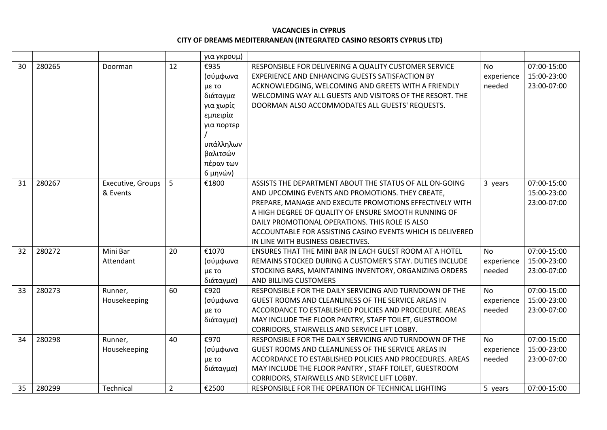|    |        |                   |                | για γκρουμ) |                                                            |            |             |
|----|--------|-------------------|----------------|-------------|------------------------------------------------------------|------------|-------------|
| 30 | 280265 | Doorman           | 12             | €935        | RESPONSIBLE FOR DELIVERING A QUALITY CUSTOMER SERVICE      | <b>No</b>  | 07:00-15:00 |
|    |        |                   |                | (σύμφωνα    | EXPERIENCE AND ENHANCING GUESTS SATISFACTION BY            | experience | 15:00-23:00 |
|    |        |                   |                | με το       | ACKNOWLEDGING, WELCOMING AND GREETS WITH A FRIENDLY        | needed     | 23:00-07:00 |
|    |        |                   |                | διάταγμα    | WELCOMING WAY ALL GUESTS AND VISITORS OF THE RESORT. THE   |            |             |
|    |        |                   |                | για χωρίς   | DOORMAN ALSO ACCOMMODATES ALL GUESTS' REQUESTS.            |            |             |
|    |        |                   |                | εμπειρία    |                                                            |            |             |
|    |        |                   |                | για πορτερ  |                                                            |            |             |
|    |        |                   |                |             |                                                            |            |             |
|    |        |                   |                | υπάλληλων   |                                                            |            |             |
|    |        |                   |                | βαλιτσών    |                                                            |            |             |
|    |        |                   |                | πέραν των   |                                                            |            |             |
|    |        |                   |                | 6 μηνών)    |                                                            |            |             |
| 31 | 280267 | Executive, Groups | 5              | €1800       | ASSISTS THE DEPARTMENT ABOUT THE STATUS OF ALL ON-GOING    | 3 years    | 07:00-15:00 |
|    |        | & Events          |                |             | AND UPCOMING EVENTS AND PROMOTIONS. THEY CREATE,           |            | 15:00-23:00 |
|    |        |                   |                |             | PREPARE, MANAGE AND EXECUTE PROMOTIONS EFFECTIVELY WITH    |            | 23:00-07:00 |
|    |        |                   |                |             | A HIGH DEGREE OF QUALITY OF ENSURE SMOOTH RUNNING OF       |            |             |
|    |        |                   |                |             | DAILY PROMOTIONAL OPERATIONS. THIS ROLE IS ALSO            |            |             |
|    |        |                   |                |             | ACCOUNTABLE FOR ASSISTING CASINO EVENTS WHICH IS DELIVERED |            |             |
|    |        |                   |                |             | IN LINE WITH BUSINESS OBJECTIVES.                          |            |             |
| 32 | 280272 | Mini Bar          | 20             | €1070       | ENSURES THAT THE MINI BAR IN EACH GUEST ROOM AT A HOTEL    | <b>No</b>  | 07:00-15:00 |
|    |        | Attendant         |                | (σύμφωνα    | REMAINS STOCKED DURING A CUSTOMER'S STAY. DUTIES INCLUDE   | experience | 15:00-23:00 |
|    |        |                   |                | με το       | STOCKING BARS, MAINTAINING INVENTORY, ORGANIZING ORDERS    | needed     | 23:00-07:00 |
|    |        |                   |                | διάταγμα)   | AND BILLING CUSTOMERS                                      |            |             |
| 33 | 280273 | Runner,           | 60             | €920        | RESPONSIBLE FOR THE DAILY SERVICING AND TURNDOWN OF THE    | <b>No</b>  | 07:00-15:00 |
|    |        | Housekeeping      |                | (σύμφωνα    | GUEST ROOMS AND CLEANLINESS OF THE SERVICE AREAS IN        | experience | 15:00-23:00 |
|    |        |                   |                | με το       | ACCORDANCE TO ESTABLISHED POLICIES AND PROCEDURE. AREAS    | needed     | 23:00-07:00 |
|    |        |                   |                | διάταγμα)   | MAY INCLUDE THE FLOOR PANTRY, STAFF TOILET, GUESTROOM      |            |             |
|    |        |                   |                |             | CORRIDORS, STAIRWELLS AND SERVICE LIFT LOBBY.              |            |             |
| 34 | 280298 | Runner,           | 40             | €970        | RESPONSIBLE FOR THE DAILY SERVICING AND TURNDOWN OF THE    | <b>No</b>  | 07:00-15:00 |
|    |        | Housekeeping      |                | (σύμφωνα    | GUEST ROOMS AND CLEANLINESS OF THE SERVICE AREAS IN        | experience | 15:00-23:00 |
|    |        |                   |                | με το       | ACCORDANCE TO ESTABLISHED POLICIES AND PROCEDURES. AREAS   | needed     | 23:00-07:00 |
|    |        |                   |                | διάταγμα)   | MAY INCLUDE THE FLOOR PANTRY, STAFF TOILET, GUESTROOM      |            |             |
|    |        |                   |                |             | CORRIDORS, STAIRWELLS AND SERVICE LIFT LOBBY.              |            |             |
| 35 | 280299 | Technical         | $\overline{2}$ | €2500       | RESPONSIBLE FOR THE OPERATION OF TECHNICAL LIGHTING        | 5 years    | 07:00-15:00 |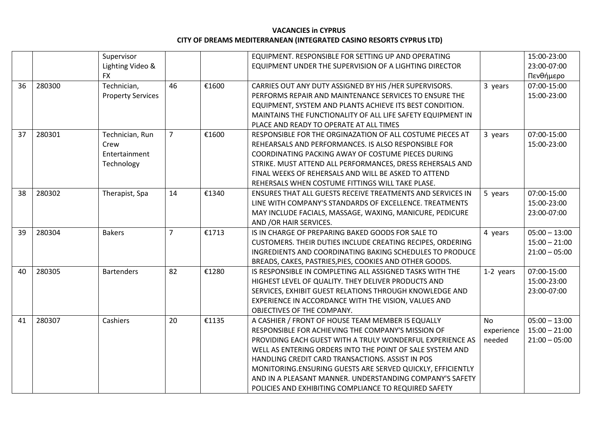|    |        | Supervisor               |                |       | EQUIPMENT. RESPONSIBLE FOR SETTING UP AND OPERATING               |            | 15:00-23:00     |
|----|--------|--------------------------|----------------|-------|-------------------------------------------------------------------|------------|-----------------|
|    |        | Lighting Video &         |                |       | EQUIPMENT UNDER THE SUPERVISION OF A LIGHTING DIRECTOR            |            | 23:00-07:00     |
|    |        | <b>FX</b>                |                |       |                                                                   |            | Πενθήμερο       |
| 36 | 280300 | Technician,              | 46             | €1600 | CARRIES OUT ANY DUTY ASSIGNED BY HIS /HER SUPERVISORS.            | 3 years    | 07:00-15:00     |
|    |        | <b>Property Services</b> |                |       | PERFORMS REPAIR AND MAINTENANCE SERVICES TO ENSURE THE            |            | 15:00-23:00     |
|    |        |                          |                |       | EQUIPMENT, SYSTEM AND PLANTS ACHIEVE ITS BEST CONDITION.          |            |                 |
|    |        |                          |                |       | MAINTAINS THE FUNCTIONALITY OF ALL LIFE SAFETY EQUIPMENT IN       |            |                 |
|    |        |                          |                |       | PLACE AND READY TO OPERATE AT ALL TIMES                           |            |                 |
| 37 | 280301 | Technician, Run          | $\overline{7}$ | €1600 | RESPONSIBLE FOR THE ORGINAZATION OF ALL COSTUME PIECES AT         | 3 years    | 07:00-15:00     |
|    |        | Crew                     |                |       | REHEARSALS AND PERFORMANCES. IS ALSO RESPONSIBLE FOR              |            | 15:00-23:00     |
|    |        | Entertainment            |                |       | COORDINATING PACKING AWAY OF COSTUME PIECES DURING                |            |                 |
|    |        | Technology               |                |       | STRIKE. MUST ATTEND ALL PERFORMANCES, DRESS REHERSALS AND         |            |                 |
|    |        |                          |                |       | FINAL WEEKS OF REHERSALS AND WILL BE ASKED TO ATTEND              |            |                 |
|    |        |                          |                |       | REHERSALS WHEN COSTUME FITTINGS WILL TAKE PLASE.                  |            |                 |
| 38 | 280302 | Therapist, Spa           | 14             | €1340 | <b>ENSURES THAT ALL GUESTS RECEIVE TREATMENTS AND SERVICES IN</b> | 5 years    | 07:00-15:00     |
|    |        |                          |                |       | LINE WITH COMPANY'S STANDARDS OF EXCELLENCE. TREATMENTS           |            | 15:00-23:00     |
|    |        |                          |                |       | MAY INCLUDE FACIALS, MASSAGE, WAXING, MANICURE, PEDICURE          |            | 23:00-07:00     |
|    |        |                          |                |       | AND / OR HAIR SERVICES.                                           |            |                 |
| 39 | 280304 | <b>Bakers</b>            | $\overline{7}$ | €1713 | IS IN CHARGE OF PREPARING BAKED GOODS FOR SALE TO                 | 4 years    | $05:00 - 13:00$ |
|    |        |                          |                |       | CUSTOMERS. THEIR DUTIES INCLUDE CREATING RECIPES, ORDERING        |            | $15:00 - 21:00$ |
|    |        |                          |                |       | INGREDIENTS AND COORDINATING BAKING SCHEDULES TO PRODUCE          |            | $21:00 - 05:00$ |
|    |        |                          |                |       | BREADS, CAKES, PASTRIES, PIES, COOKIES AND OTHER GOODS.           |            |                 |
| 40 | 280305 | <b>Bartenders</b>        | 82             | €1280 | IS RESPONSIBLE IN COMPLETING ALL ASSIGNED TASKS WITH THE          | 1-2 years  | 07:00-15:00     |
|    |        |                          |                |       | HIGHEST LEVEL OF QUALITY. THEY DELIVER PRODUCTS AND               |            | 15:00-23:00     |
|    |        |                          |                |       | SERVICES, EXHIBIT GUEST RELATIONS THROUGH KNOWLEDGE AND           |            | 23:00-07:00     |
|    |        |                          |                |       | EXPERIENCE IN ACCORDANCE WITH THE VISION, VALUES AND              |            |                 |
|    |        |                          |                |       | OBJECTIVES OF THE COMPANY.                                        |            |                 |
| 41 | 280307 | Cashiers                 | 20             | €1135 | A CASHIER / FRONT OF HOUSE TEAM MEMBER IS EQUALLY                 | <b>No</b>  | $05:00 - 13:00$ |
|    |        |                          |                |       | RESPONSIBLE FOR ACHIEVING THE COMPANY'S MISSION OF                | experience | $15:00 - 21:00$ |
|    |        |                          |                |       | PROVIDING EACH GUEST WITH A TRULY WONDERFUL EXPERIENCE AS         | needed     | $21:00 - 05:00$ |
|    |        |                          |                |       | WELL AS ENTERING ORDERS INTO THE POINT OF SALE SYSTEM AND         |            |                 |
|    |        |                          |                |       | HANDLING CREDIT CARD TRANSACTIONS. ASSIST IN POS                  |            |                 |
|    |        |                          |                |       | MONITORING.ENSURING GUESTS ARE SERVED QUICKLY, EFFICIENTLY        |            |                 |
|    |        |                          |                |       | AND IN A PLEASANT MANNER. UNDERSTANDING COMPANY'S SAFETY          |            |                 |
|    |        |                          |                |       | POLICIES AND EXHIBITING COMPLIANCE TO REQUIRED SAFETY             |            |                 |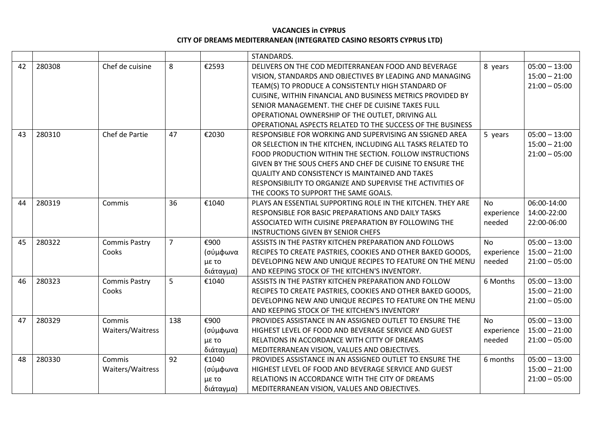|    |        |                      |                |           | STANDARDS.                                                  |            |                 |
|----|--------|----------------------|----------------|-----------|-------------------------------------------------------------|------------|-----------------|
| 42 | 280308 | Chef de cuisine      | 8              | €2593     | DELIVERS ON THE COD MEDITERRANEAN FOOD AND BEVERAGE         | 8 years    | $05:00 - 13:00$ |
|    |        |                      |                |           | VISION, STANDARDS AND OBJECTIVES BY LEADING AND MANAGING    |            | $15:00 - 21:00$ |
|    |        |                      |                |           | TEAM(S) TO PRODUCE A CONSISTENTLY HIGH STANDARD OF          |            | $21:00 - 05:00$ |
|    |        |                      |                |           | CUISINE, WITHIN FINANCIAL AND BUSINESS METRICS PROVIDED BY  |            |                 |
|    |        |                      |                |           | SENIOR MANAGEMENT. THE CHEF DE CUISINE TAKES FULL           |            |                 |
|    |        |                      |                |           | OPERATIONAL OWNERSHIP OF THE OUTLET, DRIVING ALL            |            |                 |
|    |        |                      |                |           | OPERATIONAL ASPECTS RELATED TO THE SUCCESS OF THE BUSINESS  |            |                 |
| 43 | 280310 | Chef de Partie       | 47             | €2030     | RESPONSIBLE FOR WORKING AND SUPERVISING AN SSIGNED AREA     | 5 years    | $05:00 - 13:00$ |
|    |        |                      |                |           | OR SELECTION IN THE KITCHEN, INCLUDING ALL TASKS RELATED TO |            | $15:00 - 21:00$ |
|    |        |                      |                |           | FOOD PRODUCTION WITHIN THE SECTION. FOLLOW INSTRUCTIONS     |            | $21:00 - 05:00$ |
|    |        |                      |                |           | GIVEN BY THE SOUS CHEFS AND CHEF DE CUISINE TO ENSURE THE   |            |                 |
|    |        |                      |                |           | <b>QUALITY AND CONSISTENCY IS MAINTAINED AND TAKES</b>      |            |                 |
|    |        |                      |                |           | RESPONSIBILITY TO ORGANIZE AND SUPERVISE THE ACTIVITIES OF  |            |                 |
|    |        |                      |                |           | THE COOKS TO SUPPORT THE SAME GOALS.                        |            |                 |
| 44 | 280319 | Commis               | 36             | €1040     | PLAYS AN ESSENTIAL SUPPORTING ROLE IN THE KITCHEN. THEY ARE | <b>No</b>  | 06:00-14:00     |
|    |        |                      |                |           | RESPONSIBLE FOR BASIC PREPARATIONS AND DAILY TASKS          | experience | 14:00-22:00     |
|    |        |                      |                |           | ASSOCIATED WITH CUISINE PREPARATION BY FOLLOWING THE        | needed     | 22:00-06:00     |
|    |        |                      |                |           | <b>INSTRUCTIONS GIVEN BY SENIOR CHEFS</b>                   |            |                 |
| 45 | 280322 | <b>Commis Pastry</b> | $\overline{7}$ | €900      | ASSISTS IN THE PASTRY KITCHEN PREPARATION AND FOLLOWS       | <b>No</b>  | $05:00 - 13:00$ |
|    |        | Cooks                |                | (σύμφωνα  | RECIPES TO CREATE PASTRIES, COOKIES AND OTHER BAKED GOODS,  | experience | $15:00 - 21:00$ |
|    |        |                      |                | με το     | DEVELOPING NEW AND UNIQUE RECIPES TO FEATURE ON THE MENU    | needed     | $21:00 - 05:00$ |
|    |        |                      |                | διάταγμα) | AND KEEPING STOCK OF THE KITCHEN'S INVENTORY.               |            |                 |
| 46 | 280323 | <b>Commis Pastry</b> | 5              | €1040     | ASSISTS IN THE PASTRY KITCHEN PREPARATION AND FOLLOW        | 6 Months   | $05:00 - 13:00$ |
|    |        | Cooks                |                |           | RECIPES TO CREATE PASTRIES, COOKIES AND OTHER BAKED GOODS,  |            | $15:00 - 21:00$ |
|    |        |                      |                |           | DEVELOPING NEW AND UNIQUE RECIPES TO FEATURE ON THE MENU    |            | $21:00 - 05:00$ |
|    |        |                      |                |           | AND KEEPING STOCK OF THE KITCHEN'S INVENTORY                |            |                 |
| 47 | 280329 | Commis               | 138            | €900      | PROVIDES ASSISTANCE IN AN ASSIGNED OUTLET TO ENSURE THE     | <b>No</b>  | $05:00 - 13:00$ |
|    |        | Waiters/Waitress     |                | (σύμφωνα  | HIGHEST LEVEL OF FOOD AND BEVERAGE SERVICE AND GUEST        | experience | $15:00 - 21:00$ |
|    |        |                      |                | με το     | RELATIONS IN ACCORDANCE WITH CITTY OF DREAMS                | needed     | $21:00 - 05:00$ |
|    |        |                      |                | διάταγμα) | MEDITERRANEAN VISION, VALUES AND OBJECTIVES.                |            |                 |
| 48 | 280330 | Commis               | 92             | €1040     | PROVIDES ASSISTANCE IN AN ASSIGNED OUTLET TO ENSURE THE     | 6 months   | $05:00 - 13:00$ |
|    |        | Waiters/Waitress     |                | (σύμφωνα  | HIGHEST LEVEL OF FOOD AND BEVERAGE SERVICE AND GUEST        |            | $15:00 - 21:00$ |
|    |        |                      |                | με το     | RELATIONS IN ACCORDANCE WITH THE CITY OF DREAMS             |            | $21:00 - 05:00$ |
|    |        |                      |                | διάταγμα) | MEDITERRANEAN VISION, VALUES AND OBJECTIVES.                |            |                 |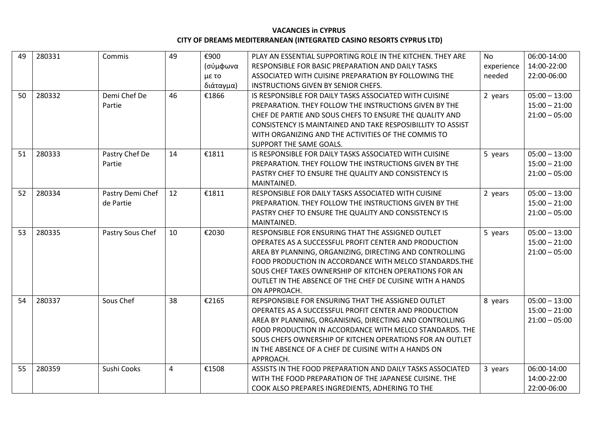| 49 | 280331 | Commis           | 49             | €900      | PLAY AN ESSENTIAL SUPPORTING ROLE IN THE KITCHEN. THEY ARE  | <b>No</b>  | 06:00-14:00     |
|----|--------|------------------|----------------|-----------|-------------------------------------------------------------|------------|-----------------|
|    |        |                  |                | (σύμφωνα  | RESPONSIBLE FOR BASIC PREPARATION AND DAILY TASKS           | experience | 14:00-22:00     |
|    |        |                  |                | με το     | ASSOCIATED WITH CUISINE PREPARATION BY FOLLOWING THE        | needed     | 22:00-06:00     |
|    |        |                  |                | διάταγμα) | INSTRUCTIONS GIVEN BY SENIOR CHEFS.                         |            |                 |
| 50 | 280332 | Demi Chef De     | 46             | €1866     | IS RESPONSIBLE FOR DAILY TASKS ASSOCIATED WITH CUISINE      | 2 years    | $05:00 - 13:00$ |
|    |        | Partie           |                |           | PREPARATION. THEY FOLLOW THE INSTRUCTIONS GIVEN BY THE      |            | $15:00 - 21:00$ |
|    |        |                  |                |           | CHEF DE PARTIE AND SOUS CHEFS TO ENSURE THE QUALITY AND     |            | $21:00 - 05:00$ |
|    |        |                  |                |           | CONSISTENCY IS MAINTAINED AND TAKE RESPOSIBILLITY TO ASSIST |            |                 |
|    |        |                  |                |           | WITH ORGANIZING AND THE ACTIVITIES OF THE COMMIS TO         |            |                 |
|    |        |                  |                |           | SUPPORT THE SAME GOALS.                                     |            |                 |
| 51 | 280333 | Pastry Chef De   | 14             | €1811     | IS RESPONSIBLE FOR DAILY TASKS ASSOCIATED WITH CUISINE      | 5 years    | $05:00 - 13:00$ |
|    |        | Partie           |                |           | PREPARATION. THEY FOLLOW THE INSTRUCTIONS GIVEN BY THE      |            | $15:00 - 21:00$ |
|    |        |                  |                |           | PASTRY CHEF TO ENSURE THE QUALITY AND CONSISTENCY IS        |            | $21:00 - 05:00$ |
|    |        |                  |                |           | MAINTAINED.                                                 |            |                 |
| 52 | 280334 | Pastry Demi Chef | 12             | €1811     | RESPONSIBLE FOR DAILY TASKS ASSOCIATED WITH CUISINE         | 2 years    | $05:00 - 13:00$ |
|    |        | de Partie        |                |           | PREPARATION. THEY FOLLOW THE INSTRUCTIONS GIVEN BY THE      |            | $15:00 - 21:00$ |
|    |        |                  |                |           | PASTRY CHEF TO ENSURE THE QUALITY AND CONSISTENCY IS        |            | $21:00 - 05:00$ |
|    |        |                  |                |           | MAINTAINED.                                                 |            |                 |
| 53 | 280335 | Pastry Sous Chef | 10             | €2030     | RESPONSIBLE FOR ENSURING THAT THE ASSIGNED OUTLET           | 5 years    | $05:00 - 13:00$ |
|    |        |                  |                |           | OPERATES AS A SUCCESSFUL PROFIT CENTER AND PRODUCTION       |            | $15:00 - 21:00$ |
|    |        |                  |                |           | AREA BY PLANNING, ORGANIZING, DIRECTING AND CONTROLLING     |            | $21:00 - 05:00$ |
|    |        |                  |                |           | FOOD PRODUCTION IN ACCORDANCE WITH MELCO STANDARDS. THE     |            |                 |
|    |        |                  |                |           | SOUS CHEF TAKES OWNERSHIP OF KITCHEN OPERATIONS FOR AN      |            |                 |
|    |        |                  |                |           | OUTLET IN THE ABSENCE OF THE CHEF DE CUISINE WITH A HANDS   |            |                 |
|    |        |                  |                |           | ON APPROACH.                                                |            |                 |
| 54 | 280337 | Sous Chef        | 38             | €2165     | REPSPONSIBLE FOR ENSURING THAT THE ASSIGNED OUTLET          | 8 years    | $05:00 - 13:00$ |
|    |        |                  |                |           | OPERATES AS A SUCCESSFUL PROFIT CENTER AND PRODUCTION       |            | $15:00 - 21:00$ |
|    |        |                  |                |           | AREA BY PLANNING, ORGANISING, DIRECTING AND CONTROLLING     |            | $21:00 - 05:00$ |
|    |        |                  |                |           | FOOD PRODUCTION IN ACCORDANCE WITH MELCO STANDARDS. THE     |            |                 |
|    |        |                  |                |           | SOUS CHEFS OWNERSHIP OF KITCHEN OPERATIONS FOR AN OUTLET    |            |                 |
|    |        |                  |                |           | IN THE ABSENCE OF A CHEF DE CUISINE WITH A HANDS ON         |            |                 |
|    |        |                  |                |           | APPROACH.                                                   |            |                 |
| 55 | 280359 | Sushi Cooks      | $\overline{4}$ | €1508     | ASSISTS IN THE FOOD PREPARATION AND DAILY TASKS ASSOCIATED  | 3 years    | 06:00-14:00     |
|    |        |                  |                |           | WITH THE FOOD PREPARATION OF THE JAPANESE CUISINE. THE      |            | 14:00-22:00     |
|    |        |                  |                |           | COOK ALSO PREPARES INGREDIENTS, ADHERING TO THE             |            | 22:00-06:00     |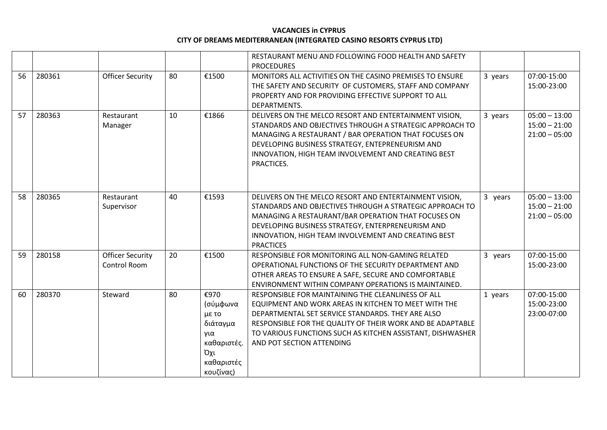|    |        |                                         |    |                                                                                               | RESTAURANT MENU AND FOLLOWING FOOD HEALTH AND SAFETY<br><b>PROCEDURES</b>                                                                                                                                                                                                                                                |         |                                                       |
|----|--------|-----------------------------------------|----|-----------------------------------------------------------------------------------------------|--------------------------------------------------------------------------------------------------------------------------------------------------------------------------------------------------------------------------------------------------------------------------------------------------------------------------|---------|-------------------------------------------------------|
| 56 | 280361 | <b>Officer Security</b>                 | 80 | €1500                                                                                         | MONITORS ALL ACTIVITIES ON THE CASINO PREMISES TO ENSURE<br>THE SAFETY AND SECURITY OF CUSTOMERS, STAFF AND COMPANY<br>PROPERTY AND FOR PROVIDING EFFECTIVE SUPPORT TO ALL<br>DEPARTMENTS.                                                                                                                               | 3 years | 07:00-15:00<br>15:00-23:00                            |
| 57 | 280363 | Restaurant<br>Manager                   | 10 | €1866                                                                                         | DELIVERS ON THE MELCO RESORT AND ENTERTAINMENT VISION,<br>STANDARDS AND OBJECTIVES THROUGH A STRATEGIC APPROACH TO<br>MANAGING A RESTAURANT / BAR OPERATION THAT FOCUSES ON<br>DEVELOPING BUSINESS STRATEGY, ENTEPRENEURISM AND<br>INNOVATION, HIGH TEAM INVOLVEMENT AND CREATING BEST<br>PRACTICES.                     | 3 years | $05:00 - 13:00$<br>$15:00 - 21:00$<br>$21:00 - 05:00$ |
| 58 | 280365 | Restaurant<br>Supervisor                | 40 | €1593                                                                                         | DELIVERS ON THE MELCO RESORT AND ENTERTAINMENT VISION,<br>STANDARDS AND OBJECTIVES THROUGH A STRATEGIC APPROACH TO<br>MANAGING A RESTAURANT/BAR OPERATION THAT FOCUSES ON<br>DEVELOPING BUSINESS STRATEGY, ENTERPRENEURISM AND<br>INNOVATION, HIGH TEAM INVOLVEMENT AND CREATING BEST<br><b>PRACTICES</b>                | 3 years | $05:00 - 13:00$<br>$15:00 - 21:00$<br>$21:00 - 05:00$ |
| 59 | 280158 | <b>Officer Security</b><br>Control Room | 20 | €1500                                                                                         | RESPONSIBLE FOR MONITORING ALL NON-GAMING RELATED<br>OPERATIONAL FUNCTIONS OF THE SECURITY DEPARTMENT AND<br>OTHER AREAS TO ENSURE A SAFE, SECURE AND COMFORTABLE<br>ENVIRONMENT WITHIN COMPANY OPERATIONS IS MAINTAINED.                                                                                                | 3 years | 07:00-15:00<br>15:00-23:00                            |
| 60 | 280370 | Steward                                 | 80 | €970<br>(σύμφωνα<br>με το<br>διάταγμα<br>για<br>καθαριστές.<br>Όχι<br>καθαριστές<br>κουζίνας) | RESPONSIBLE FOR MAINTAINING THE CLEANLINESS OF ALL<br>EQUIPMENT AND WORK AREAS IN KITCHEN TO MEET WITH THE<br>DEPARTMENTAL SET SERVICE STANDARDS. THEY ARE ALSO<br>RESPONSIBLE FOR THE QUALITY OF THEIR WORK AND BE ADAPTABLE<br>TO VARIOUS FUNCTIONS SUCH AS KITCHEN ASSISTANT, DISHWASHER<br>AND POT SECTION ATTENDING | 1 years | 07:00-15:00<br>15:00-23:00<br>23:00-07:00             |